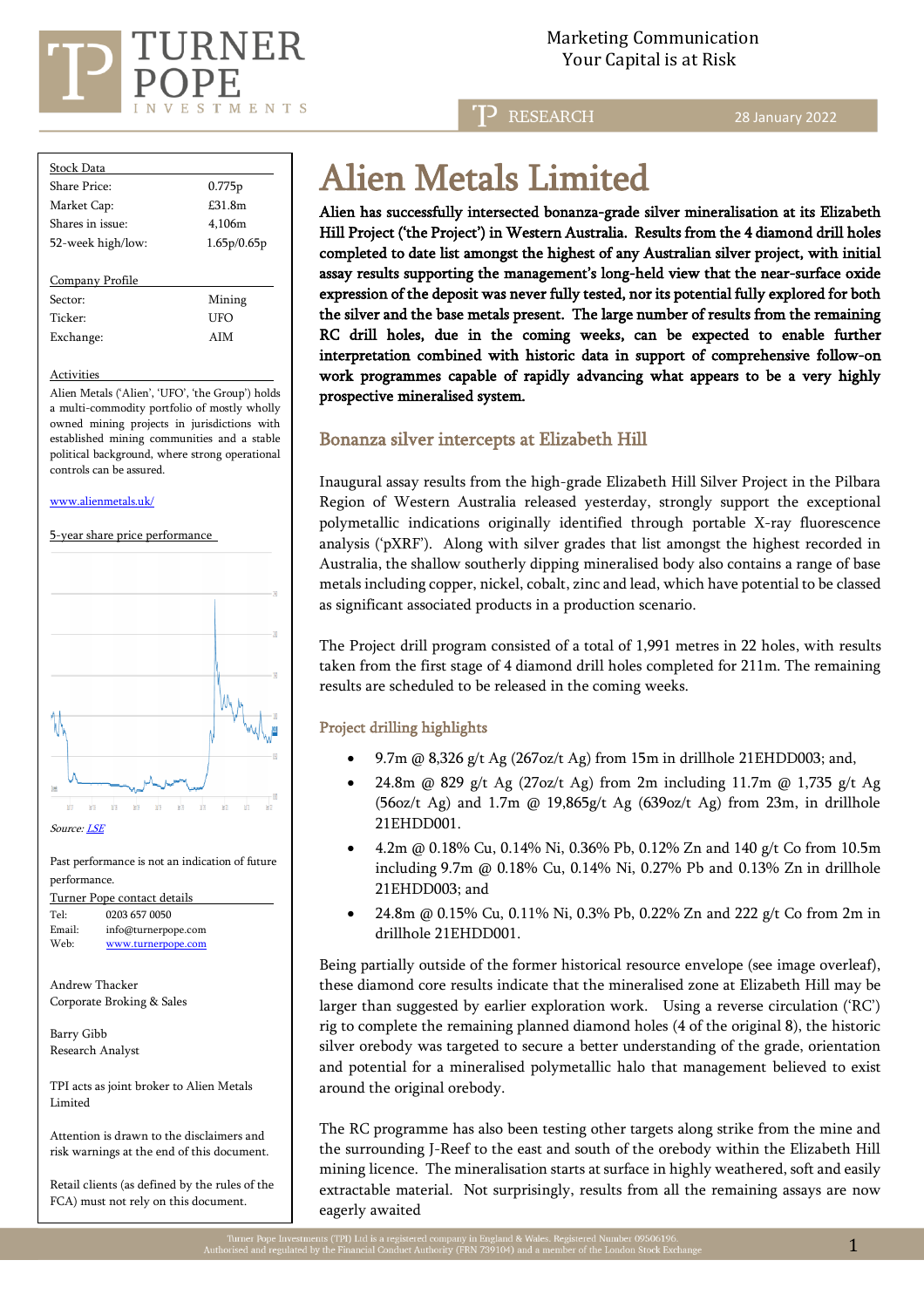

**RESEARCH** 

28 January 2022

| Stock Data          |             |
|---------------------|-------------|
| Share Price:        | 0.775p      |
| Market Cap:         | $£31$ $Rm$  |
| Shares in issue:    | 4.106m      |
| 52-week high/low:   | 1.65p/0.65p |
|                     |             |
| Company Profile     |             |
| Sector:             | Mining      |
| Ticker <sup>.</sup> | UFO         |
| Exchange:           | <b>AIM</b>  |
|                     |             |

#### Activities

Alien Metals ('Alien', 'UFO', 'the Group') holds a multi-commodity portfolio of mostly wholly owned mining projects in jurisdictions with established mining communities and a stable political background, where strong operational controls can be assured.

#### [www.alienmetals.uk/](http://www.alienmetals.uk/)

5-year share price performance



#### Past performance is not an indication of future performance.

Turner Pope contact details Tel: [0203](tel:0203) 657 0050<br>Email: info@turnerpc [info@turnerpope.com](mailto:info@turnerpope.com) Web: [www.turnerpope.com](http://www.turnerpope.com/)

Andrew Thacker Corporate Broking & Sales

Barry Gibb Research Analyst

TPI acts as joint broker to Alien Metals Limited

Attention is drawn to the disclaimers and risk warnings at the end of this document.

Retail clients (as defined by the rules of the FCA) must not rely on this document.

# Alien Metals Limited

Alien has successfully intersected bonanza-grade silver mineralisation at its Elizabeth Hill Project ('the Project') in Western Australia. Results from the 4 diamond drill holes completed to date list amongst the highest of any Australian silver project, with initial assay results supporting the management's long-held view that the near-surface oxide expression of the deposit was never fully tested, nor its potential fully explored for both the silver and the base metals present. The large number of results from the remaining RC drill holes, due in the coming weeks, can be expected to enable further interpretation combined with historic data in support of comprehensive follow-on work programmes capable of rapidly advancing what appears to be a very highly prospective mineralised system.

## Bonanza silver intercepts at Elizabeth Hill

Inaugural assay results from the high-grade Elizabeth Hill Silver Project in the Pilbara Region of Western Australia released yesterday, strongly support the exceptional polymetallic indications originally identified through portable X-ray fluorescence analysis ('pXRF'). Along with silver grades that list amongst the highest recorded in Australia, the shallow southerly dipping mineralised body also contains a range of base metals including copper, nickel, cobalt, zinc and lead, which have potential to be classed as significant associated products in a production scenario.

The Project drill program consisted of a total of 1,991 metres in 22 holes, with results taken from the first stage of 4 diamond drill holes completed for 211m. The remaining results are scheduled to be released in the coming weeks.

## Project drilling highlights

- 9.7m @ 8,326 g/t Ag (267oz/t Ag) from 15m in drillhole 21EHDD003; and,
- 24.8m @ 829 g/t Ag (27oz/t Ag) from 2m including 11.7m @ 1,735 g/t Ag (56oz/t Ag) and 1.7m @ 19,865g/t Ag (639oz/t Ag) from 23m, in drillhole 21EHDD001.
- 4.2m @ 0.18% Cu, 0.14% Ni, 0.36% Pb, 0.12% Zn and 140 g/t Co from 10.5m including 9.7m @ 0.18% Cu, 0.14% Ni, 0.27% Pb and 0.13% Zn in drillhole 21EHDD003; and
- 24.8m @ 0.15% Cu, 0.11% Ni, 0.3% Pb, 0.22% Zn and 222 g/t Co from 2m in drillhole 21EHDD001.

Being partially outside of the former historical resource envelope (see image overleaf), these diamond core results indicate that the mineralised zone at Elizabeth Hill may be larger than suggested by earlier exploration work. Using a reverse circulation ('RC') rig to complete the remaining planned diamond holes (4 of the original 8), the historic silver orebody was targeted to secure a better understanding of the grade, orientation and potential for a mineralised polymetallic halo that management believed to exist around the original orebody.

The RC programme has also been testing other targets along strike from the mine and the surrounding J-Reef to the east and south of the orebody within the Elizabeth Hill mining licence. The mineralisation starts at surface in highly weathered, soft and easily extractable material. Not surprisingly, results from all the remaining assays are now eagerly awaited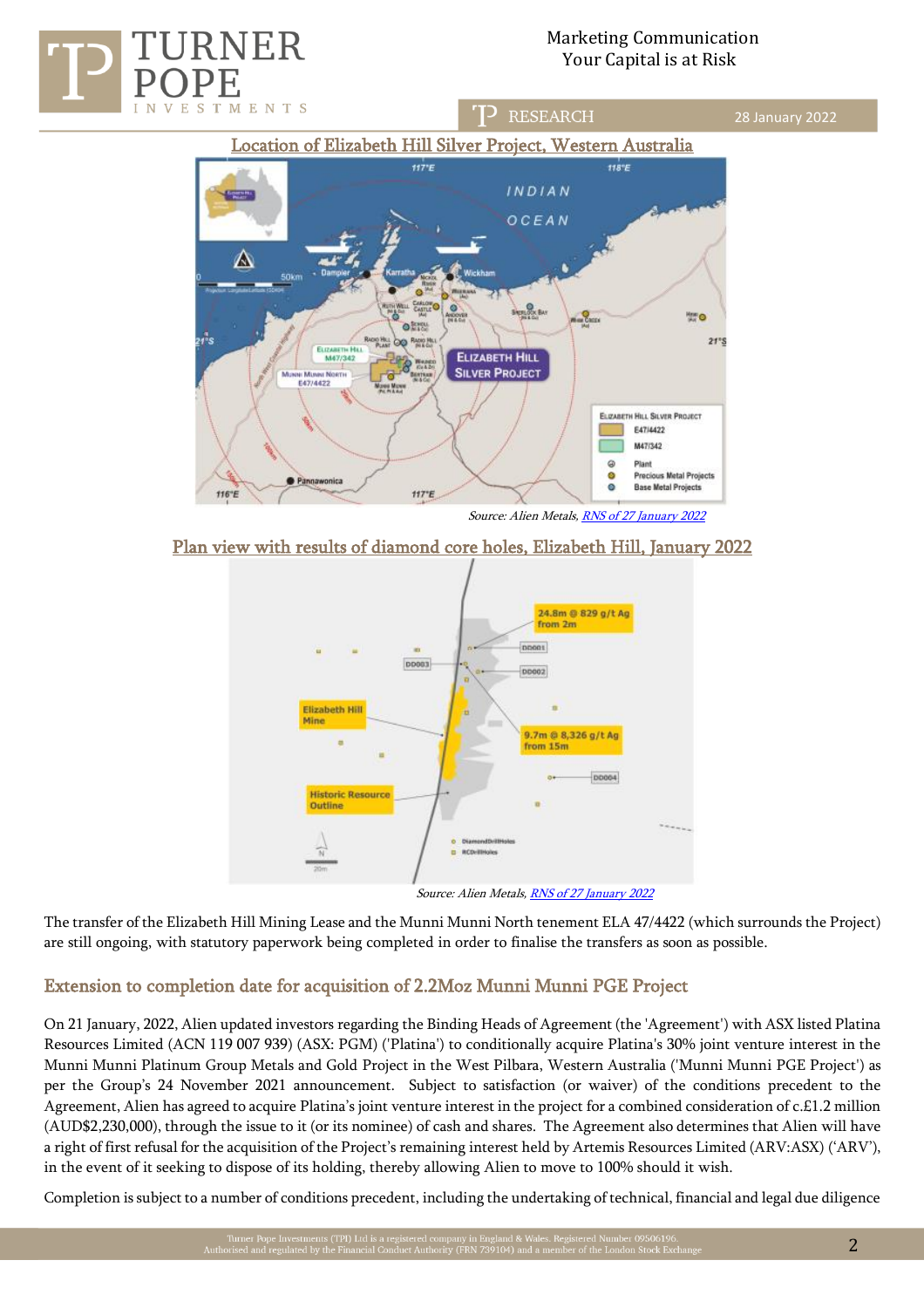



Plan view with results of diamond core holes, Elizabeth Hill, January 2022



The transfer of the Elizabeth Hill Mining Lease and the Munni Munni North tenement ELA 47/4422 (which surrounds the Project) are still ongoing, with statutory paperwork being completed in order to finalise the transfers as soon as possible.

# Extension to completion date for acquisition of 2.2Moz Munni Munni PGE Project

On 21 January, 2022, Alien updated investors regarding the Binding Heads of Agreement (the 'Agreement') with ASX listed Platina Resources Limited (ACN 119 007 939) (ASX: PGM) ('Platina') to conditionally acquire Platina's 30% joint venture interest in the Munni Munni Platinum Group Metals and Gold Project in the West Pilbara, Western Australia ('Munni Munni PGE Project') as per the Group's 24 November 2021 announcement. Subject to satisfaction (or waiver) of the conditions precedent to the Agreement, Alien has agreed to acquire Platina's joint venture interest in the project for a combined consideration of c.£1.2 million (AUD\$2,230,000), through the issue to it (or its nominee) of cash and shares. The Agreement also determines that Alien will have a right of first refusal for the acquisition of the Project's remaining interest held by Artemis Resources Limited (ARV:ASX) ('ARV'), in the event of it seeking to dispose of its holding, thereby allowing Alien to move to 100% should it wish.

Completion is subject to a number of conditions precedent, including the undertaking of technical, financial and legal due diligence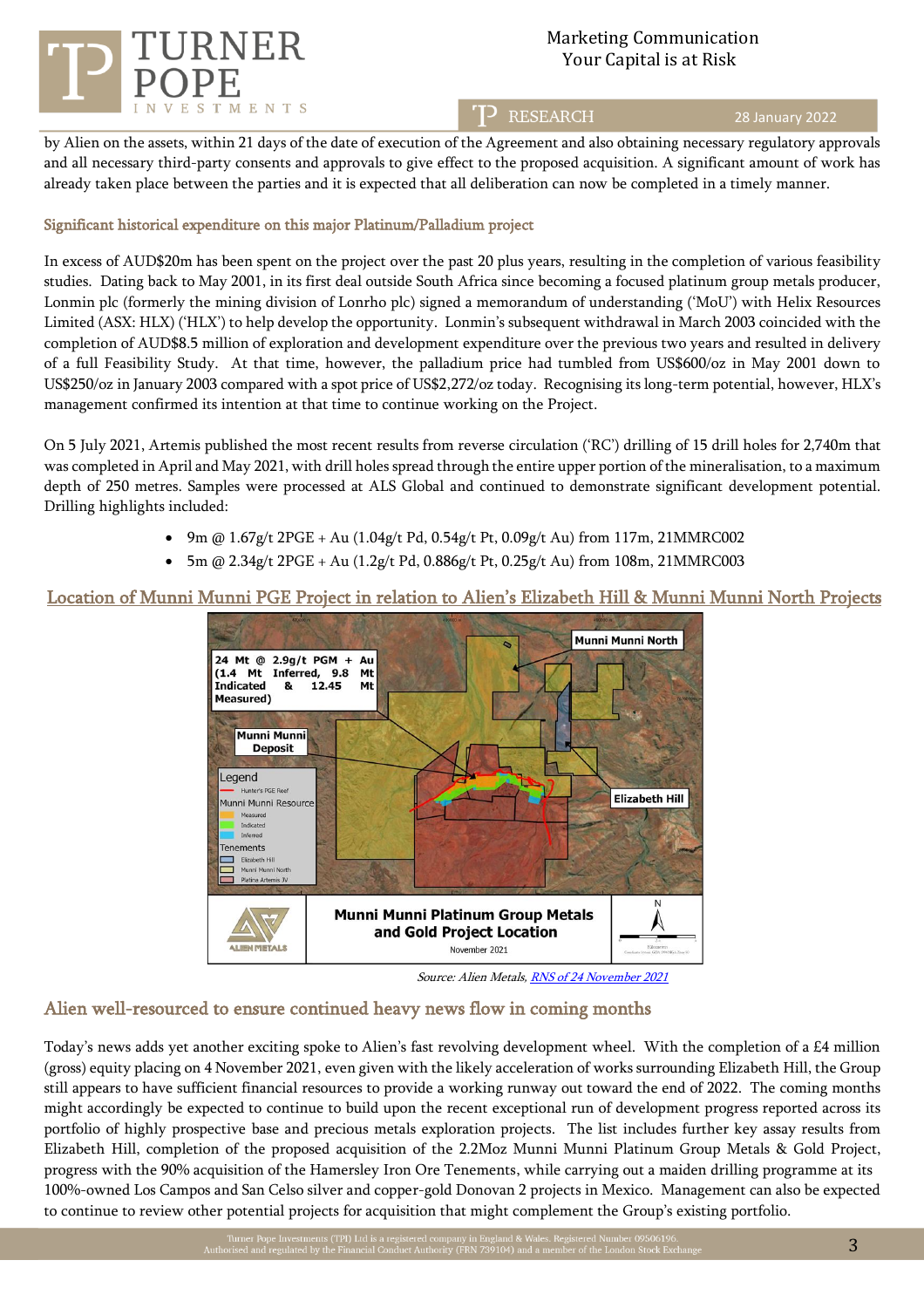

## TP RESEARCH

#### 28 January 2022

by Alien on the assets, within 21 days of the date of execution of the Agreement and also obtaining necessary regulatory approvals and all necessary third-party consents and approvals to give effect to the proposed acquisition. A significant amount of work has already taken place between the parties and it is expected that all deliberation can now be completed in a timely manner.

## Significant historical expenditure on this major Platinum/Palladium project

In excess of AUD\$20m has been spent on the project over the past 20 plus years, resulting in the completion of various feasibility studies. Dating back to May 2001, in its first deal outside South Africa since becoming a focused platinum group metals producer, Lonmin plc (formerly the mining division of Lonrho plc) signed a memorandum of understanding ('MoU') with Helix Resources Limited (ASX: HLX) ('HLX') to help develop the opportunity. Lonmin's subsequent withdrawal in March 2003 coincided with the completion of AUD\$8.5 million of exploration and development expenditure over the previous two years and resulted in delivery of a full Feasibility Study. At that time, however, the palladium price had tumbled from US\$600/oz in May 2001 down to US\$250/oz in January 2003 compared with a spot price of US\$2,272/oz today. Recognising its long-term potential, however, HLX's management confirmed its intention at that time to continue working on the Project.

On 5 July 2021, Artemis published the most recent results from reverse circulation ('RC') drilling of 15 drill holes for 2,740m that was completed in April and May 2021, with drill holes spread through the entire upper portion of the mineralisation, to a maximum depth of 250 metres. Samples were processed at ALS Global and continued to demonstrate significant development potential. Drilling highlights included:

- 9m @  $1.67g/t$  2PGE + Au (1.04g/t Pd, 0.54g/t Pt, 0.09g/t Au) from 117m, 21MMRC002
- 5m @ 2.34g/t 2PGE + Au (1.2g/t Pd, 0.886g/t Pt, 0.25g/t Au) from 108m, 21MMRC003

## Location of Munni Munni PGE Project in relation to Alien's Elizabeth Hill & Munni Munni North Projects



Source: Alien Metals[, RNS of 24 November 2021](https://www.londonstockexchange.com/news-article/UFO/acquisition-of-30-of-munni-munni-project/15223364)

## Alien well-resourced to ensure continued heavy news flow in coming months

Today's news adds yet another exciting spoke to Alien's fast revolving development wheel. With the completion of a £4 million (gross) equity placing on 4 November 2021, even given with the likely acceleration of works surrounding Elizabeth Hill, the Group still appears to have sufficient financial resources to provide a working runway out toward the end of 2022. The coming months might accordingly be expected to continue to build upon the recent exceptional run of development progress reported across its portfolio of highly prospective base and precious metals exploration projects. The list includes further key assay results from Elizabeth Hill, completion of the proposed acquisition of the 2.2Moz Munni Munni Platinum Group Metals & Gold Project, progress with the 90% acquisition of the Hamersley Iron Ore Tenements, while carrying out a maiden drilling programme at its 100%-owned Los Campos and San Celso silver and copper-gold Donovan 2 projects in Mexico. Management can also be expected to continue to review other potential projects for acquisition that might complement the Group's existing portfolio.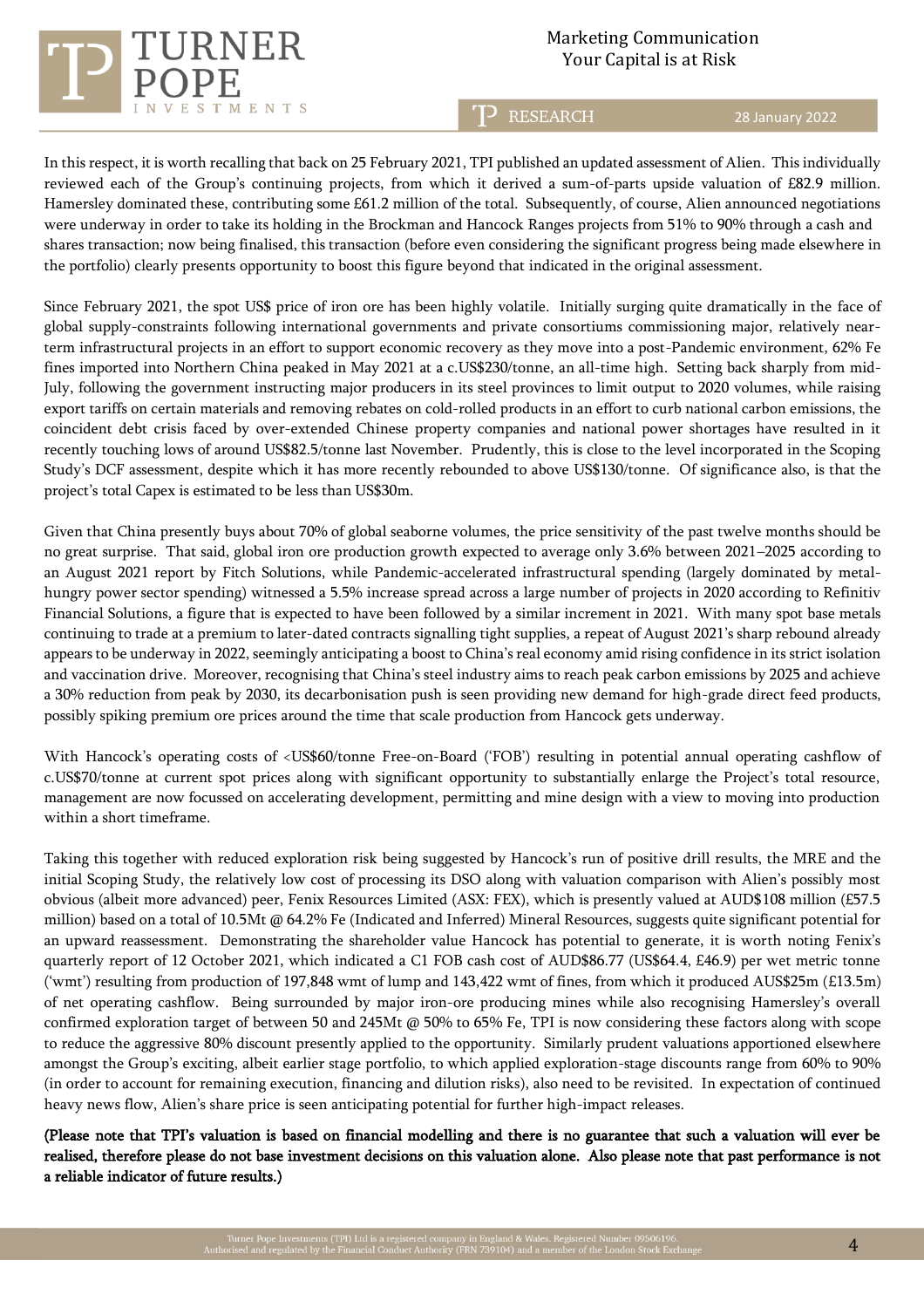

T<sup>2</sup> RESEARCH

28 January 2022

In this respect, it is worth recalling that back on 25 February 2021, TPI published an updated assessment of Alien. This individually reviewed each of the Group's continuing projects, from which it derived a sum-of-parts upside valuation of £82.9 million. Hamersley dominated these, contributing some £61.2 million of the total. Subsequently, of course, Alien announced negotiations were underway in order to take its holding in the Brockman and Hancock Ranges projects from 51% to 90% through a cash and shares transaction; now being finalised, this transaction (before even considering the significant progress being made elsewhere in the portfolio) clearly presents opportunity to boost this figure beyond that indicated in the original assessment.

Since February 2021, the spot US\$ price of iron ore has been highly volatile. Initially surging quite dramatically in the face of global supply-constraints following international governments and private consortiums commissioning major, relatively nearterm infrastructural projects in an effort to support economic recovery as they move into a post-Pandemic environment, 62% Fe fines imported into Northern China peaked in May 2021 at a c.US\$230/tonne, an all-time high. Setting back sharply from mid-July, following the government instructing major producers in its steel provinces to limit output to 2020 volumes, while raising export tariffs on certain materials and removing rebates on cold-rolled products in an effort to curb national carbon emissions, the coincident debt crisis faced by over-extended Chinese property companies and national power shortages have resulted in it recently touching lows of around US\$82.5/tonne last November. Prudently, this is close to the level incorporated in the Scoping Study's DCF assessment, despite which it has more recently rebounded to above US\$130/tonne. Of significance also, is that the project's total Capex is estimated to be less than US\$30m.

Given that China presently buys about 70% of global seaborne volumes, the price sensitivity of the past twelve months should be no great surprise. That said, global iron ore production growth expected to average only 3.6% between 2021–2025 according to an August 2021 report by Fitch Solutions, while Pandemic-accelerated infrastructural spending (largely dominated by metalhungry power sector spending) witnessed a 5.5% increase spread across a large number of projects in 2020 according to Refinitiv Financial Solutions, a figure that is expected to have been followed by a similar increment in 2021. With many spot base metals continuing to trade at a premium to later-dated contracts signalling tight supplies, a repeat of August 2021's sharp rebound already appears to be underway in 2022, seemingly anticipating a boost to China's real economy amid rising confidence in its strict isolation and vaccination drive. Moreover, recognising that China's steel industry aims to reach peak carbon emissions by 2025 and achieve a 30% reduction from peak by 2030, its decarbonisation push is seen providing new demand for high-grade direct feed products, possibly spiking premium ore prices around the time that scale production from Hancock gets underway.

With Hancock's operating costs of <US\$60/tonne Free-on-Board ('FOB') resulting in potential annual operating cashflow of c.US\$70/tonne at current spot prices along with significant opportunity to substantially enlarge the Project's total resource, management are now focussed on accelerating development, permitting and mine design with a view to moving into production within a short timeframe.

Taking this together with reduced exploration risk being suggested by Hancock's run of positive drill results, the MRE and the initial Scoping Study, the relatively low cost of processing its DSO along with valuation comparison with Alien's possibly most obvious (albeit more advanced) peer, Fenix Resources Limited (ASX: FEX), which is presently valued at AUD\$108 million (£57.5 million) based on a total of 10.5Mt @ 64.2% Fe (Indicated and Inferred) Mineral Resources, suggests quite significant potential for an upward reassessment. Demonstrating the shareholder value Hancock has potential to generate, it is worth noting Fenix's quarterly report of 12 October 2021, which indicated a C1 FOB cash cost of AUD\$86.77 (US\$64.4, £46.9) per wet metric tonne ('wmt') resulting from production of 197,848 wmt of lump and 143,422 wmt of fines, from which it produced AUS\$25m (£13.5m) of net operating cashflow. Being surrounded by major iron-ore producing mines while also recognising Hamersley's overall confirmed exploration target of between 50 and 245Mt @ 50% to 65% Fe, TPI is now considering these factors along with scope to reduce the aggressive 80% discount presently applied to the opportunity. Similarly prudent valuations apportioned elsewhere amongst the Group's exciting, albeit earlier stage portfolio, to which applied exploration-stage discounts range from 60% to 90% (in order to account for remaining execution, financing and dilution risks), also need to be revisited. In expectation of continued heavy news flow, Alien's share price is seen anticipating potential for further high-impact releases.

(Please note that TPI's valuation is based on financial modelling and there is no guarantee that such a valuation will ever be realised, therefore please do not base investment decisions on this valuation alone. Also please note that past performance is not a reliable indicator of future results.)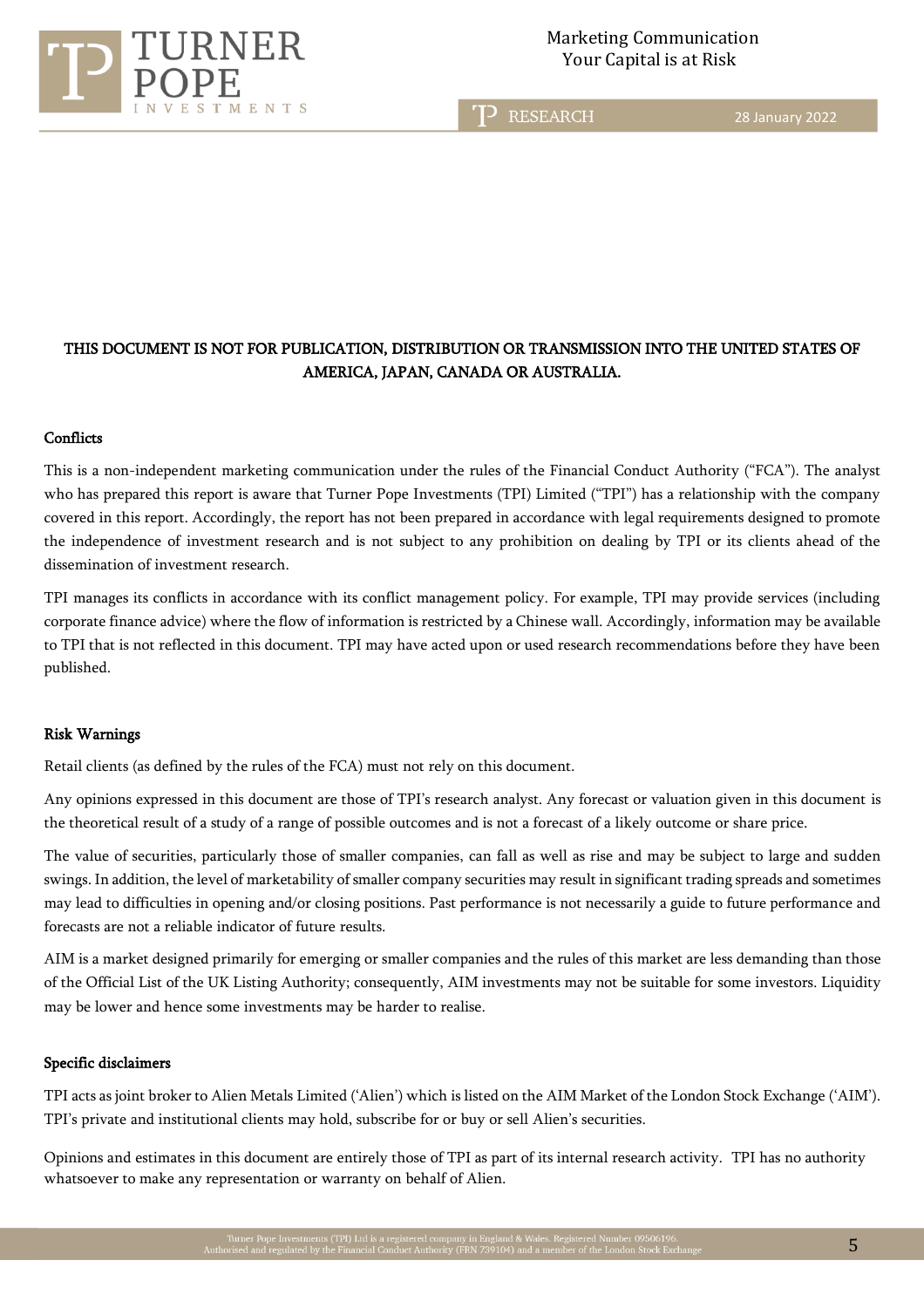

TD RESEARCH

28 January 2022

# THIS DOCUMENT IS NOT FOR PUBLICATION, DISTRIBUTION OR TRANSMISSION INTO THE UNITED STATES OF AMERICA, JAPAN, CANADA OR AUSTRALIA.

## **Conflicts**

This is a non-independent marketing communication under the rules of the Financial Conduct Authority ("FCA"). The analyst who has prepared this report is aware that Turner Pope Investments (TPI) Limited ("TPI") has a relationship with the company covered in this report. Accordingly, the report has not been prepared in accordance with legal requirements designed to promote the independence of investment research and is not subject to any prohibition on dealing by TPI or its clients ahead of the dissemination of investment research.

TPI manages its conflicts in accordance with its conflict management policy. For example, TPI may provide services (including corporate finance advice) where the flow of information is restricted by a Chinese wall. Accordingly, information may be available to TPI that is not reflected in this document. TPI may have acted upon or used research recommendations before they have been published.

## Risk Warnings

Retail clients (as defined by the rules of the FCA) must not rely on this document.

Any opinions expressed in this document are those of TPI's research analyst. Any forecast or valuation given in this document is the theoretical result of a study of a range of possible outcomes and is not a forecast of a likely outcome or share price.

The value of securities, particularly those of smaller companies, can fall as well as rise and may be subject to large and sudden swings. In addition, the level of marketability of smaller company securities may result in significant trading spreads and sometimes may lead to difficulties in opening and/or closing positions. Past performance is not necessarily a guide to future performance and forecasts are not a reliable indicator of future results.

AIM is a market designed primarily for emerging or smaller companies and the rules of this market are less demanding than those of the Official List of the UK Listing Authority; consequently, AIM investments may not be suitable for some investors. Liquidity may be lower and hence some investments may be harder to realise.

## Specific disclaimers

TPI acts as joint broker to Alien Metals Limited ('Alien') which is listed on the AIM Market of the London Stock Exchange ('AIM'). TPI's private and institutional clients may hold, subscribe for or buy or sell Alien's securities.

Opinions and estimates in this document are entirely those of TPI as part of its internal research activity. TPI has no authority whatsoever to make any representation or warranty on behalf of Alien.